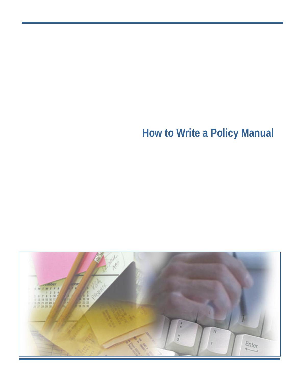# **How to Write a Policy Manual**

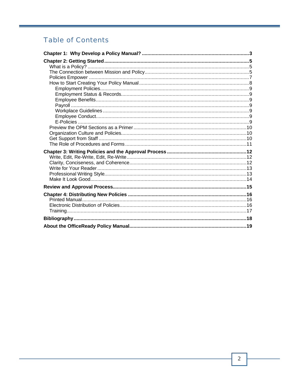# **Table of Contents**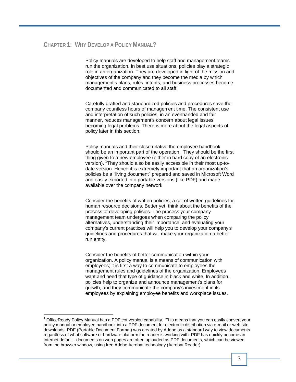## **CHAPTER 1: WHY DEVELOP A POLICY MANUAL?**

Policy manuals are developed to help staff and management teams run the organization. In best use situations, policies play a strategic role in an organization. They are developed in light of the mission and objectives of the company and they become the media by which management's plans, rules, intents, and business processes become documented and communicated to all staff.

Carefully drafted and standardized policies and procedures save the company countless hours of management time. The consistent use and interpretation of such policies, in an evenhanded and fair manner, reduces management's concern about legal issues becoming legal problems. There is more about the legal aspects of policy later in this section.

Policy manuals and their close relative the employee handbook should be an important part of the operation. They should be the first thing given to a new employee (either in hard copy of an electronic version). <sup>1</sup>They should also be easily accessible in their most up-todate version. Hence it is extremely important that an organization's policies be a "living document" prepared and saved in Microsoft Word and easily exported into portable versions (like PDF) and made available over the company network.

Consider the benefits of written policies; a set of written guidelines for human resource decisions. Better yet, think about the benefits of the process of developing policies. The process your company management team undergoes when comparing the policy alternatives, understanding their importance, and evaluating your company's current practices will help you to develop your company's guidelines and procedures that will make your organization a better run entity.

Consider the benefits of better communication within your organization. A policy manual is a means of communication with employees; it is first a way to communicate to employees the management rules and guidelines of the organization. Employees want and need that type of guidance in black and white. In addition, policies help to organize and announce management's plans for growth, and they communicate the company's investment in its employees by explaining employee benefits and workplace issues.

1

<sup>1</sup> OfficeReady Policy Manual has a PDF conversion capability. This means that you can easily convert your policy manual or employee handbook into a PDF document for electronic distribution via e-mail or web site downloads. PDF (Portable Document Format) was created by Adobe as a standard way to view documents regardless of what software or hardware platform the reader is working with. PDF has quickly become an Internet default - documents on web pages are often uploaded as PDF documents, which can be viewed from the browser window, using free Adobe Acrobat technology (Acrobat Reader).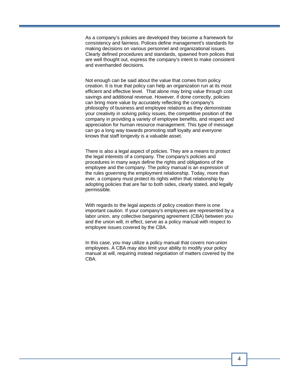As a company's policies are developed they become a framework for consistency and fairness. Polices define management's standards for making decisions on various personnel and organizational issues. Clearly defined procedures and standards, spawned from polices that are well thought out, express the company's intent to make consistent and evenhanded decisions.

Not enough can be said about the value that comes from policy creation. It is true that policy can help an organization run at its most efficient and effective level. That alone may bring value through cost savings and additional revenue. However, if done correctly, policies can bring more value by accurately reflecting the company's philosophy of business and employee relations as they demonstrate your creativity in solving policy issues, the competitive position of the company in providing a variety of employee benefits, and respect and appreciation for human resource management. This type of message can go a long way towards promoting staff loyalty and everyone knows that staff longevity is a valuable asset.

There is also a legal aspect of policies. They are a means to protect the legal interests of a company. The company's policies and procedures in many ways define the rights and obligations of the employee and the company. The policy manual is an expression of the rules governing the employment relationship. Today, more than ever, a company must protect its rights within that relationship by adopting policies that are fair to both sides, clearly stated, and legally permissible.

With regards to the legal aspects of policy creation there is one important caution. If your company's employees are represented by a labor union, any collective bargaining agreement (CBA) between you and the union will, in effect, serve as a policy manual with respect to employee issues covered by the CBA.

In this case, you may utilize a policy manual that covers non-union employees. A CBA may also limit your ability to modify your policy manual at will, requiring instead negotiation of matters covered by the CBA.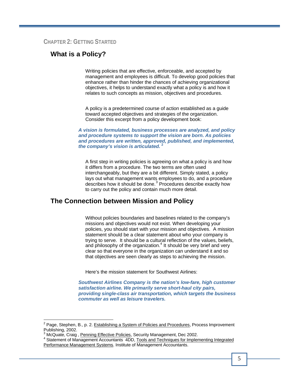#### **CHAPTER 2: GETTING STARTED**

# **What is a Policy?**

Writing policies that are effective, enforceable, and accepted by management and employees is difficult. To develop good policies that enhance rather than hinder the chances of achieving organizational objectives, it helps to understand exactly what a policy is and how it relates to such concepts as mission, objectives and procedures.

A policy is a predetermined course of action established as a guide toward accepted objectives and strategies of the organization. Consider this excerpt from a policy development book:

*A vision is formulated, business processes are analyzed, and policy and procedure systems to support the vision are born. As policies and procedures are written, approved, published, and implemented, the company's vision is articulated.* **<sup>2</sup>**

A first step in writing policies is agreeing on what a policy is and how it differs from a procedure. The two terms are often used interchangeably, but they are a bit different. Simply stated, a policy lays out what management wants employees to do, and a procedure describes how it should be done.<sup>3</sup> Procedures describe exactly how to carry out the policy and contain much more detail.

## **The Connection between Mission and Policy**

Without policies boundaries and baselines related to the company's missions and objectives would not exist. When developing your policies, you should start with your mission and objectives. A mission statement should be a clear statement about who your company is trying to serve. It should be a cultural reflection of the values, beliefs, and philosophy of the organization.<sup>4</sup> It should be very brief and very clear so that everyone in the organization can understand it and so that objectives are seen clearly as steps to achieving the mission.

Here's the mission statement for Southwest Airlines:

*Southwest Airlines Company is the nation's low-fare, high customer satisfaction airline. We primarily serve short-haul city pairs, providing single-class air transportation, which targets the business commuter as well as leisure travelers.*

1

<sup>&</sup>lt;sup>2</sup> Page, Stephen, B., p. 2. Establishing a System of Policies and Procedures, Process Improvement Publishing, 2002.

<sup>3</sup> McQuate, Craig, Penning Effective Policies, Security Management, Dec 2002.

<sup>4</sup> Statement of Management Accountants 4DD, Tools and Techniques for Implementing Integrated Performance Management Systems. Institute of Management Accountants.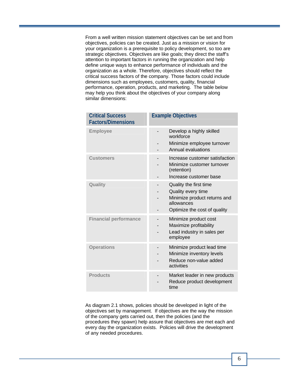From a well written mission statement objectives can be set and from objectives, policies can be created. Just as a mission or vision for your organization is a prerequisite to policy development, so too are strategic objectives. Objectives are like goals; they direct the staff's attention to important factors in running the organization and help define unique ways to enhance performance of individuals and the organization as a whole. Therefore, objectives should reflect the critical success factors of the company. Those factors could include dimensions such as employees, customers, quality, financial performance, operation, products, and marketing. The table below may help you think about the objectives of your company along similar dimensions:

| <b>Critical Success</b><br><b>Factors/Dimensions</b> | <b>Example Objectives</b>                                                                                                  |
|------------------------------------------------------|----------------------------------------------------------------------------------------------------------------------------|
| <b>Employee</b>                                      | Develop a highly skilled<br>workforce<br>Minimize employee turnover<br>Annual evaluations                                  |
| <b>Customers</b>                                     | Increase customer satisfaction<br>Minimize customer turnover<br>(retention)<br>Increase customer base                      |
| Quality                                              | Quality the first time<br>Quality every time<br>Minimize product returns and<br>allowances<br>Optimize the cost of quality |
| <b>Financial performance</b>                         | Minimize product cost<br>Maximize profitability<br>Lead industry in sales per<br>employee                                  |
| <b>Operations</b>                                    | Minimize product lead time<br>Minimize inventory levels<br>Reduce non-value added<br>activities                            |
| <b>Products</b>                                      | Market leader in new products<br>Reduce product development<br>time                                                        |

As diagram 2.1 shows, policies should be developed in light of the objectives set by management. If objectives are the way the mission of the company gets carried out, then the policies (and the procedures they spawn) help assure that objectives are met each and every day the organization exists. Policies will drive the development of any needed procedures.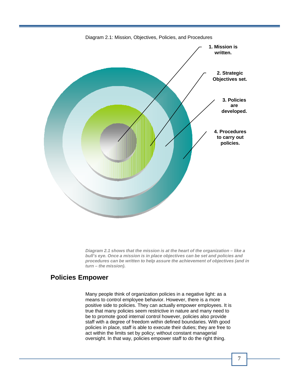

*Diagram 2.1 shows that the mission is at the heart of the organization – like a bull's eye. Once a mission is in place objectives can be set and policies and procedures can be written to help assure the achievement of objectives (and in turn – the mission).*

# **Policies Empower**

Many people think of organization policies in a negative light: as a means to control employee behavior. However, there is a more positive side to policies. They can actually empower employees. It is true that many policies seem restrictive in nature and many need to be to promote good internal control however, policies also provide staff with a degree of freedom within defined boundaries. With good policies in place, staff is able to execute their duties; they are free to act within the limits set by policy; without constant managerial oversight. In that way, policies empower staff to do the right thing.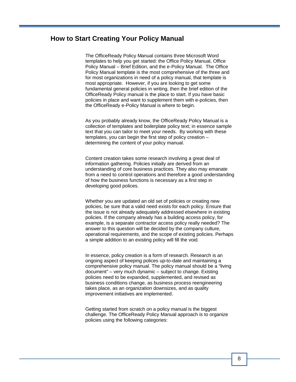# **How to Start Creating Your Policy Manual**

The OfficeReady Policy Manual contains three Microsoft Word templates to help you get started: the Office Policy Manual, Office Policy Manual – Brief Edition, and the e-Policy Manual. The Office Policy Manual template is the most comprehensive of the three and for most organizations in need of a policy manual, that template is most appropriate. However, if you are looking to get some fundamental general policies in writing, then the brief edition of the OfficeReady Policy manual is the place to start. If you have basic policies in place and want to supplement them with e-policies, then the OfficeReady e-Policy Manual is where to begin.

As you probably already know, the OfficeReady Policy Manual is a collection of templates and boilerplate policy text; in essence sample text that you can tailor to meet your needs. By working with these templates, you can begin the first step of policy creation – determining the content of your policy manual.

Content creation takes some research involving a great deal of information gathering. Policies initially are derived from an understanding of core business practices. They also may emanate from a need to control operations and therefore a good understanding of how the business functions is necessary as a first step in developing good polices.

Whether you are updated an old set of policies or creating new policies, be sure that a valid need exists for each policy. Ensure that the issue is not already adequately addressed elsewhere in existing policies. If the company already has a building access policy, for example, is a separate contractor access policy really needed? The answer to this question will be decided by the company culture, operational requirements, and the scope of existing policies. Perhaps a simple addition to an existing policy will fill the void.

In essence, policy creation is a form of research. Research is an ongoing aspect of keeping polices up-to-date and maintaining a comprehensive policy manual. The policy manual should be a "living document" – very much dynamic – subject to change. Existing policies need to be expanded, supplemented, and revised as business conditions change, as business process reengineering takes place, as an organization downsizes, and as quality improvement initiatives are implemented.

Getting started from scratch on a policy manual is the biggest challenge. The OfficeReady Policy Manual approach is to organize policies using the following categories: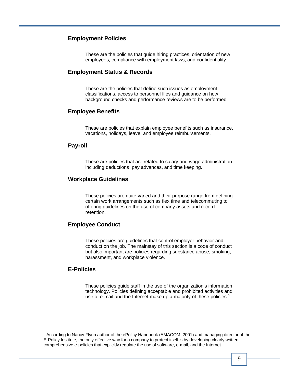#### **Employment Policies**

These are the policies that guide hiring practices, orientation of new employees, compliance with employment laws, and confidentiality.

#### **Employment Status & Records**

These are the policies that define such issues as employment classifications, access to personnel files and guidance on how background checks and performance reviews are to be performed.

#### **Employee Benefits**

These are policies that explain employee benefits such as insurance, vacations, holidays, leave, and employee reimbursements.

#### **Payroll**

These are policies that are related to salary and wage administration including deductions, pay advances, and time keeping.

#### **Workplace Guidelines**

These policies are quite varied and their purpose range from defining certain work arrangements such as flex time and telecommuting to offering guidelines on the use of company assets and record retention.

#### **Employee Conduct**

These policies are guidelines that control employer behavior and conduct on the job. The mainstay of this section is a code of conduct but also important are policies regarding substance abuse, smoking, harassment, and workplace violence.

#### **E-Policies**

These policies guide staff in the use of the organization's information technology. Policies defining acceptable and prohibited activities and use of e-mail and the Internet make up a majority of these policies.<sup>5</sup>

 5 According to Nancy Flynn author of the ePolicy Handbook (AMACOM, 2001) and managing director of the E-Policy Institute, the only effective way for a company to protect itself is by developing clearly written, comprehensive e-policies that explicitly regulate the use of software, e-mail, and the Internet.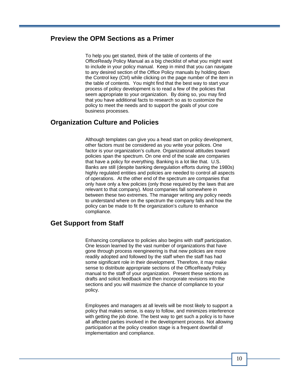# **Preview the OPM Sections as a Primer**

To help you get started, think of the table of contents of the OfficeReady Policy Manual as a big checklist of what you might want to include in your policy manual. Keep in mind that you can navigate to any desired section of the Office Policy manuals by holding down the Control key (Ctrl) while clicking on the page number of the item in the table of contents. You might find that the best way to start your process of policy development is to read a few of the policies that seem appropriate to your organization. By doing so, you may find that you have additional facts to research so as to customize the policy to meet the needs and to support the goals of your core business processes.

## **Organization Culture and Policies**

Although templates can give you a head start on policy development, other factors must be considered as you write your polices. One factor is your organization's culture. Organizational attitudes toward policies span the spectrum. On one end of the scale are companies that have a policy for everything. Banking is a lot like that. U.S. Banks are still (despite banking deregulation efforts during the 1980s) highly regulated entities and policies are needed to control all aspects of operations. At the other end of the spectrum are companies that only have only a few policies (only those required by the laws that are relevant to that company). Most companies fall somewhere in between these two extremes. The manager writing any policy needs to understand where on the spectrum the company falls and how the policy can be made to fit the organization's culture to enhance compliance.

## **Get Support from Staff**

Enhancing compliance to policies also begins with staff participation. One lesson learned by the vast number of organizations that have gone through process reengineering is that new policies are more readily adopted and followed by the staff when the staff has had some significant role in their development. Therefore, it may make sense to distribute appropriate sections of the OfficeReady Policy manual to the staff of your organization. Present these sections as drafts and solicit feedback and then incorporate revisions into the sections and you will maximize the chance of compliance to your policy.

Employees and managers at all levels will be most likely to support a policy that makes sense, is easy to follow, and minimizes interference with getting the job done. The best way to get such a policy is to have all affected parties involved in the development process. Not allowing participation at the policy creation stage is a frequent downfall of implementation and compliance.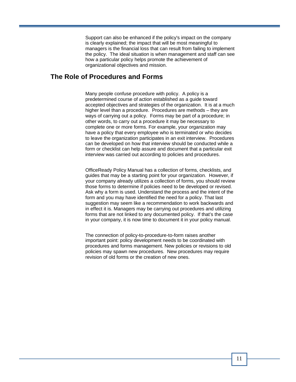Support can also be enhanced if the policy's impact on the company is clearly explained; the impact that will be most meaningful to managers is the financial loss that can result from failing to implement the policy. The ideal situation is when management and staff can see how a particular policy helps promote the achievement of organizational objectives and mission.

## **The Role of Procedures and Forms**

Many people confuse procedure with policy. A policy is a predetermined course of action established as a guide toward accepted objectives and strategies of the organization. It is at a much higher level than a procedure. Procedures are methods – they are ways of carrying out a policy. Forms may be part of a procedure; in other words, to carry out a procedure it may be necessary to complete one or more forms. For example, your organization may have a policy that every employee who is terminated or who decides to leave the organization participates in an exit interview. Procedures can be developed on how that interview should be conducted while a form or checklist can help assure and document that a particular exit interview was carried out according to policies and procedures.

OfficeReady Policy Manual has a collection of forms, checklists, and guides that may be a starting point for your organization. However, if your company already utilizes a collection of forms, you should review those forms to determine if policies need to be developed or revised. Ask why a form is used. Understand the process and the intent of the form and you may have identified the need for a policy. That last suggestion may seem like a recommendation to work backwards and in effect it is. Managers may be carrying out procedures and utilizing forms that are not linked to any documented policy. If that's the case in your company, it is now time to document it in your policy manual.

The connection of policy-to-procedure-to-form raises another important point: policy development needs to be coordinated with procedures and forms management. New policies or revisions to old policies may spawn new procedures. New procedures may require revision of old forms or the creation of new ones.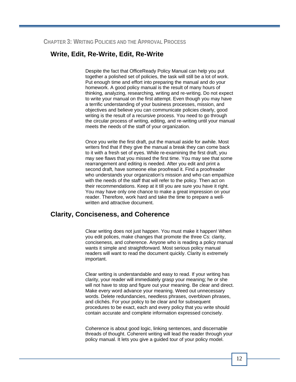# **Write, Edit, Re-Write, Edit, Re-Write**

Despite the fact that OfficeReady Policy Manual can help you put together a polished set of policies, the task will still be a lot of work. Put enough time and effort into preparing the manual and do your homework. A good policy manual is the result of many hours of thinking, analyzing, researching, writing and re-writing. Do not expect to write your manual on the first attempt. Even though you may have a terrific understanding of your business processes, mission, and objectives and believe you can communicate policies clearly, good writing is the result of a recursive process. You need to go through the circular process of writing, editing, and re-writing until your manual meets the needs of the staff of your organization.

Once you write the first draft, put the manual aside for awhile. Most writers find that if they give the manual a break they can come back to it with a fresh set of eyes. While re-examining the first draft, you may see flaws that you missed the first time. You may see that some rearrangement and editing is needed. After you edit and print a second draft, have someone else proofread it. Find a proofreader who understands your organization's mission and who can empathize with the needs of the staff that will refer to the policy. Then act on their recommendations. Keep at it till you are sure you have it right. You may have only one chance to make a great impression on your reader. Therefore, work hard and take the time to prepare a wellwritten and attractive document.

## **Clarity, Conciseness, and Coherence**

Clear writing does not just happen. You must make it happen! When you edit polices, make changes that promote the three Cs: clarity, conciseness, and coherence. Anyone who is reading a policy manual wants it simple and straightforward. Most serious policy manual readers will want to read the document quickly. Clarity is extremely important.

Clear writing is understandable and easy to read. If your writing has clarity, your reader will immediately grasp your meaning; he or she will not have to stop and figure out your meaning. Be clear and direct. Make every word advance your meaning. Weed out unnecessary words. Delete redundancies, needless phrases, overblown phrases, and clichés. For your policy to be clear and for subsequent procedures to be exact, each and every policy that you write should contain accurate and complete information expressed concisely.

Coherence is about good logic, linking sentences, and discernable threads of thought. Coherent writing will lead the reader through your policy manual. It lets you give a guided tour of your policy model.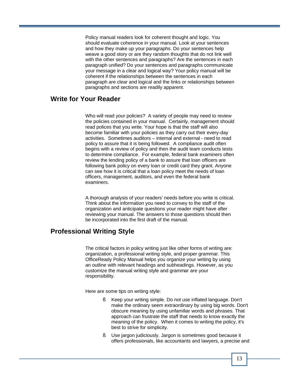Policy manual readers look for coherent thought and logic. You should evaluate coherence in your manual. Look at your sentences and how they make up your paragraphs. Do your sentences help weave a good story or are they random thoughts that do not link well with the other sentences and paragraphs? Are the sentences in each paragraph unified? Do your sentences and paragraphs communicate your message in a clear and logical way? Your policy manual will be coherent if the relationships between the sentences in each paragraph are clear and logical and the links or relationships between paragraphs and sections are readily apparent.

# **Write for Your Reader**

Who will read your policies? A variety of people may need to review the policies contained in your manual. Certainly, management should read polices that you write. Your hope is that the staff will also become familiar with your policies as they carry out their every-day activities. Sometimes auditors – internal and external - need to read policy to assure that it is being followed. A compliance audit often begins with a review of policy and then the audit team conducts tests to determine compliance. For example, federal bank examiners often review the lending policy of a bank to assure that loan officers are following bank policy on every loan or credit card they grant. Anyone can see how it is critical that a loan policy meet the needs of loan officers, management, auditors, and even the federal bank examiners.

A thorough analysis of your readers' needs before you write is critical. Think about the information you need to convey to the staff of the organization and anticipate questions your reader might have after reviewing your manual. The answers to those questions should then be incorporated into the first draft of the manual.

# **Professional Writing Style**

The critical factors in policy writing just like other forms of writing are: organization, a professional writing style, and proper grammar. This OfficeReady Policy Manual helps you organize your writing by using an outline with relevant headings and subheadings. However, as you customize the manual writing style and grammar are your responsibility.

Here are some tips on writing style:

- § Keep your writing simple. Do not use inflated language. Don't make the ordinary seem extraordinary by using big words. Don't obscure meaning by using unfamiliar words and phrases. That approach can frustrate the staff that needs to know exactly the meaning of the policy. When it comes to writing the policy, it's best to strive for simplicity.
- § Use jargon judiciously. Jargon is sometimes good because it offers professionals, like accountants and lawyers, a precise and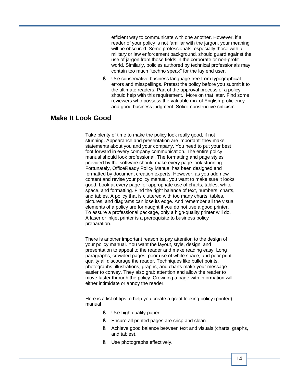efficient way to communicate with one another. However, if a reader of your policy is not familiar with the jargon, your meaning will be obscured. Some professionals, especially those with a military or law enforcement background, should guard against the use of jargon from those fields in the corporate or non-profit world. Similarly, policies authored by technical professionals may contain too much "techno speak" for the lay end user.

§ Use conservative business language free from typographical errors and misspellings. Pretest the policy before you submit it to the ultimate readers. Part of the approval process of a policy should help with this requirement. More on that later. Find some reviewers who possess the valuable mix of English proficiency and good business judgment. Solicit constructive criticism.

# **Make It Look Good**

Take plenty of time to make the policy look really good, if not stunning. Appearance and presentation are important; they make statements about you and your company. You need to put your best foot forward in every company communication. The entire policy manual should look professional. The formatting and page styles provided by the software should make every page look stunning. Fortunately, OfficeReady Policy Manual has been designed and formatted by document creation experts. However, as you add new content and revise your policy manual, you want to make sure it looks good. Look at every page for appropriate use of charts, tables, white space, and formatting. Find the right balance of text, numbers, charts, and tables. A policy that is cluttered with too many charts, tables, pictures, and diagrams can lose its edge. And remember all the visual elements of a policy are for naught if you do not use a good printer. To assure a professional package, only a high-quality printer will do. A laser or inkjet printer is a prerequisite to business policy preparation.

There is another important reason to pay attention to the design of your policy manual. You want the layout, style, design, and presentation to appeal to the reader and make reading easy. Long paragraphs, crowded pages, poor use of white space, and poor print quality all discourage the reader. Techniques like bullet points, photographs, illustrations, graphs, and charts make your message easier to convey. They also grab attention and allow the reader to move faster through the policy. Crowding a page with information will either intimidate or annoy the reader.

Here is a list of tips to help you create a great looking policy (printed) manual

- § Use high quality paper.
- § Ensure all printed pages are crisp and clean.
- § Achieve good balance between text and visuals (charts, graphs, and tables).
- § Use photographs effectively.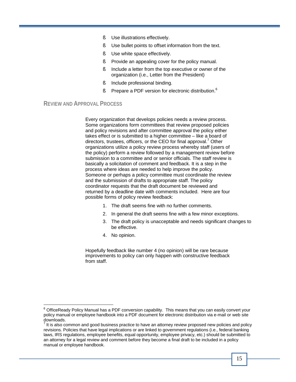- § Use illustrations effectively.
- § Use bullet points to offset information from the text.
- § Use white space effectively.
- § Provide an appealing cover for the policy manual.
- § Include a letter from the top executive or owner of the organization (i.e., Letter from the President)
- § Include professional binding.
- § Prepare a PDF version for electronic distribution.<sup>6</sup>

#### **REVIEW AND APPROVAL PROCESS**

1

Every organization that develops policies needs a review process. Some organizations form committees that review proposed policies and policy revisions and after committee approval the policy either takes effect or is submitted to a higher committee – like a board of directors, trustees, officers, or the CEO for final approval.<sup>7</sup> Other organizations utilize a policy review process whereby staff (users of the policy) perform a review followed by a management review before submission to a committee and or senior officials. The staff review is basically a solicitation of comment and feedback. It is a step in the process where ideas are needed to help improve the policy. Someone or perhaps a policy committee must coordinate the review and the submission of drafts to appropriate staff. The policy coordinator requests that the draft document be reviewed and returned by a deadline date with comments included. Here are four possible forms of policy review feedback:

- 1. The draft seems fine with no further comments.
- 2. In general the draft seems fine with a few minor exceptions.
- 3. The draft policy is unacceptable and needs significant changes to be effective.
- 4. No opinion.

Hopefully feedback like number 4 (no opinion) will be rare because improvements to policy can only happen with constructive feedback from staff.

 $^6$  OfficeReady Policy Manual has a PDF conversion capability. This means that you can easily convert your policy manual or employee handbook into a PDF document for electronic distribution via e-mail or web site downloads.

 $<sup>7</sup>$  It is also common and good business practice to have an attorney review proposed new policies and policy</sup> revisions. Policies that have legal implications or are linked to government regulations (i.e., federal banking laws, IRS regulations, employee benefits, equal opportunity, employee privacy, etc.) should be submitted to an attorney for a legal review and comment before they become a final draft to be included in a policy manual or employee handbook.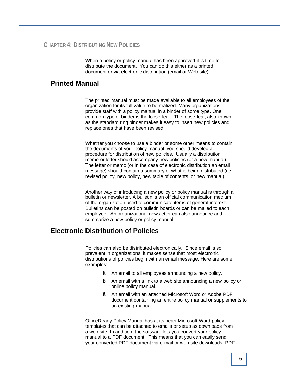When a policy or policy manual has been approved it is time to distribute the document. You can do this either as a printed document or via electronic distribution (email or Web site).

# **Printed Manual**

The printed manual must be made available to all employees of the organization for its full value to be realized. Many organizations provide staff with a policy manual in a binder of some type. One common type of binder is the loose-leaf. The loose-leaf, also known as the standard ring binder makes it easy to insert new policies and replace ones that have been revised.

Whether you choose to use a binder or some other means to contain the documents of your policy manual, you should develop a procedure for distribution of new policies. Usually a distribution memo or letter should accompany new policies (or a new manual). The letter or memo (or in the case of electronic distribution an email message) should contain a summary of what is being distributed (i.e., revised policy, new policy, new table of contents, or new manual).

Another way of introducing a new policy or policy manual is through a bulletin or newsletter. A bulletin is an official communication medium of the organization used to communicate items of general interest. Bulletins can be posted on bulletin boards or can be mailed to each employee. An organizational newsletter can also announce and summarize a new policy or policy manual.

# **Electronic Distribution of Policies**

Policies can also be distributed electronically. Since email is so prevalent in organizations, it makes sense that most electronic distributions of policies begin with an email message. Here are some examples:

- § An email to all employees announcing a new policy.
- § An email with a link to a web site announcing a new policy or online policy manual.
- § An email with an attached Microsoft Word or Adobe PDF document containing an entire policy manual or supplements to an existing manual.

OfficeReady Policy Manual has at its heart Microsoft Word policy templates that can be attached to emails or setup as downloads from a web site. In addition, the software lets you convert your policy manual to a PDF document. This means that you can easily send your converted PDF document via e-mail or web site downloads. PDF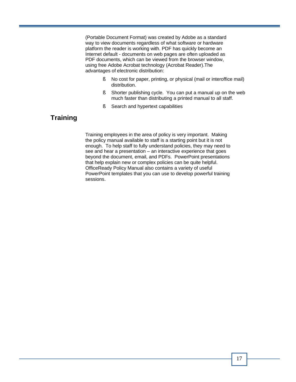(Portable Document Format) was created by Adobe as a standard way to view documents regardless of what software or hardware platform the reader is working with. PDF has quickly become an Internet default - documents on web pages are often uploaded as PDF documents, which can be viewed from the browser window, using free Adobe Acrobat technology (Acrobat Reader).The advantages of electronic distribution:

- § No cost for paper, printing, or physical (mail or interoffice mail) distribution.
- § Shorter publishing cycle. You can put a manual up on the web much faster than distributing a printed manual to all staff.
- § Search and hypertext capabilities

# **Training**

Training employees in the area of policy is very important. Making the policy manual available to staff is a starting point but it is not enough. To help staff to fully understand policies, they may need to see and hear a presentation – an interactive experience that goes beyond the document, email, and PDFs. PowerPoint presentations that help explain new or complex policies can be quite helpful. OfficeReady Policy Manual also contains a variety of useful PowerPoint templates that you can use to develop powerful training sessions.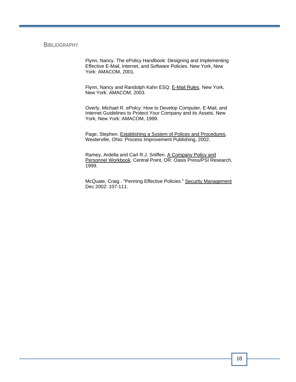#### **BIBLIOGRAPHY**

Flynn, Nancy. The ePolicy Handbook: Designing and Implementing Effective E-Mail, Internet, and Software Policies. New York, New York: AMACOM, 2001.

Flynn, Nancy and Randolph Kahn ESQ. E-Mail Rules. New York, New York: AMACOM, 2003.

Overly, Michael R. ePolcy: How to Develop Computer, E-Mail, and Internet Guidelines to Protect Your Company and its Assets. New York, New York: AMACOM, 1999.

Page, Stephen. Establishing a System of Polices and Procedures. Westerville, Ohio: Process Improvement Publishing, 2002.

Ramey, Ardella and Carl R.J. Sniffen. A Company Policy and Personnel Workbook, Central Point, OR: Oasis Press/PSI Research, 1999.

McQuate, Craig . "Penning Effective Policies." Security Management Dec 2002: 107-111.